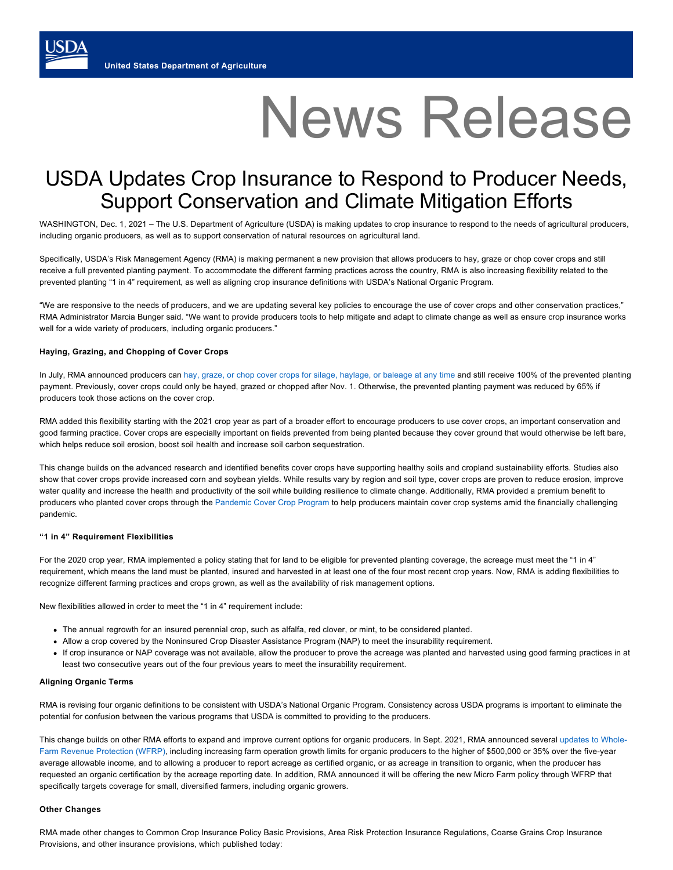# News Release

# USDA Updates Crop Insurance to Respond to Producer Needs, Support Conservation and Climate Mitigation Efforts

WASHINGTON, Dec. 1, 2021 – The U.S. Department of Agriculture (USDA) is making updates to crop insurance to respond to the needs of agricultural producers, including organic producers, as well as to support conservation of natural resources on agricultural land.

Specifically, USDA's Risk Management Agency (RMA) is making permanent a new provision that allows producers to hay, graze or chop cover crops and still receive a full prevented planting payment. To accommodate the different farming practices across the country, RMA is also increasing flexibility related to the prevented planting "1 in 4" requirement, as well as aligning crop insurance definitions with USDA's National Organic Program.

"We are responsive to the needs of producers, and we are updating several key policies to encourage the use of cover crops and other conservation practices," RMA Administrator Marcia Bunger said. "We want to provide producers tools to help mitigate and adapt to climate change as well as ensure crop insurance works well for a wide variety of producers, including organic producers."

### **Haying, Grazing, and Chopping of Cover Crops**

In July, RMA announced producers can [hay, graze, or chop cover crops for silage, haylage, or baleage at any time](https://www.rma.usda.gov/News-Room/Press/National-News-Archive/2021-News/2021-News/Producers-Can-Now-Hay-Graze-and-Chop-Cover-Crops-and-Still-Receive-Full-Prevented-Planting-Paymnt) and still receive 100% of the prevented planting payment. Previously, cover crops could only be hayed, grazed or chopped after Nov. 1. Otherwise, the prevented planting payment was reduced by 65% if producers took those actions on the cover crop.

RMA added this flexibility starting with the 2021 crop year as part of a broader effort to encourage producers to use cover crops, an important conservation and good farming practice. Cover crops are especially important on fields prevented from being planted because they cover ground that would otherwise be left bare, which helps reduce soil erosion, boost soil health and increase soil carbon sequestration.

This change builds on the advanced research and identified benefits cover crops have supporting healthy soils and cropland sustainability efforts. Studies also show that cover crops provide increased corn and soybean yields. While results vary by region and soil type, cover crops are proven to reduce erosion, improve water quality and increase the health and productivity of the soil while building resilience to climate change. Additionally, RMA provided a premium benefit to producers who planted cover crops through the [Pandemic Cover Crop Program](https://www.farmers.gov/pandemic-assistance/cover-crops) to help producers maintain cover crop systems amid the financially challenging pandemic.

### **"1 in 4" Requirement Flexibilities**

For the 2020 crop year, RMA implemented a policy stating that for land to be eligible for prevented planting coverage, the acreage must meet the "1 in 4" requirement, which means the land must be planted, insured and harvested in at least one of the four most recent crop years. Now, RMA is adding flexibilities to recognize different farming practices and crops grown, as well as the availability of risk management options.

New flexibilities allowed in order to meet the "1 in 4" requirement include:

- The annual regrowth for an insured perennial crop, such as alfalfa, red clover, or mint, to be considered planted.
- Allow a crop covered by the Noninsured Crop Disaster Assistance Program (NAP) to meet the insurability requirement.
- If crop insurance or NAP coverage was not available, allow the producer to prove the acreage was planted and harvested using good farming practices in at least two consecutive years out of the four previous years to meet the insurability requirement.

## **Aligning Organic Terms**

RMA is revising four organic definitions to be consistent with USDA's National Organic Program. Consistency across USDA programs is important to eliminate the potential for confusion between the various programs that USDA is committed to providing to the producers.

This change builds on other RMA efforts to expand and improve current options for organic producers. In Sept. 2021, RMA announced several updates to Whole-[Farm Revenue Protection \(WFRP\), including increasing farm operation growth limits for organic producers to the higher of \\$500,000 or 35% over the five-year](https://www.rma.usda.gov/News-Room/Press/National-News-Archive/2021-News/2021-News/RMA-Makes-Improvements-to-Whole-Farm-Revenue-Protection) average allowable income, and to allowing a producer to report acreage as certified organic, or as acreage in transition to organic, when the producer has requested an organic certification by the acreage reporting date. In addition, RMA announced it will be offering the new Micro Farm policy through WFRP that specifically targets coverage for small, diversified farmers, including organic growers.

#### **Other Changes**

RMA made other changes to Common Crop Insurance Policy Basic Provisions, Area Risk Protection Insurance Regulations, Coarse Grains Crop Insurance Provisions, and other insurance provisions, which published today: